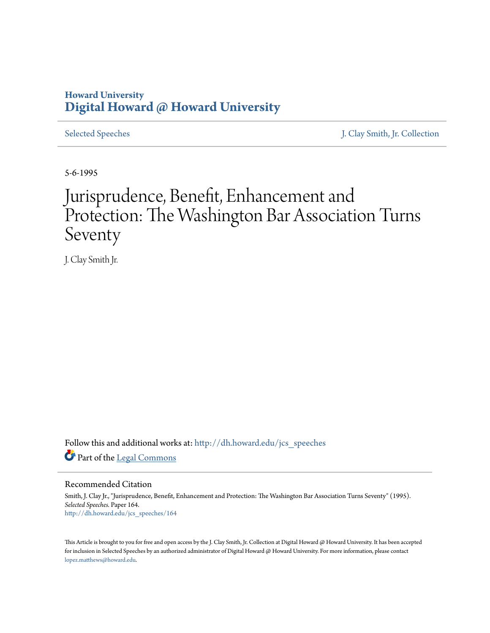# **Howard University [Digital Howard @ Howard University](http://dh.howard.edu?utm_source=dh.howard.edu%2Fjcs_speeches%2F164&utm_medium=PDF&utm_campaign=PDFCoverPages)**

[Selected Speeches](http://dh.howard.edu/jcs_speeches?utm_source=dh.howard.edu%2Fjcs_speeches%2F164&utm_medium=PDF&utm_campaign=PDFCoverPages) [J. Clay Smith, Jr. Collection](http://dh.howard.edu/jcsmith?utm_source=dh.howard.edu%2Fjcs_speeches%2F164&utm_medium=PDF&utm_campaign=PDFCoverPages)

5-6-1995

# Jurisprudence, Benefit, Enhancement and Protection: The Washington Bar Association Turns Seventy

J. Clay Smith Jr.

Follow this and additional works at: [http://dh.howard.edu/jcs\\_speeches](http://dh.howard.edu/jcs_speeches?utm_source=dh.howard.edu%2Fjcs_speeches%2F164&utm_medium=PDF&utm_campaign=PDFCoverPages) Part of the [Legal Commons](http://network.bepress.com/hgg/discipline/502?utm_source=dh.howard.edu%2Fjcs_speeches%2F164&utm_medium=PDF&utm_campaign=PDFCoverPages)

Recommended Citation

Smith, J. Clay Jr., "Jurisprudence, Benefit, Enhancement and Protection: The Washington Bar Association Turns Seventy" (1995). *Selected Speeches.* Paper 164. [http://dh.howard.edu/jcs\\_speeches/164](http://dh.howard.edu/jcs_speeches/164?utm_source=dh.howard.edu%2Fjcs_speeches%2F164&utm_medium=PDF&utm_campaign=PDFCoverPages)

This Article is brought to you for free and open access by the J. Clay Smith, Jr. Collection at Digital Howard @ Howard University. It has been accepted for inclusion in Selected Speeches by an authorized administrator of Digital Howard @ Howard University. For more information, please contact [lopez.matthews@howard.edu.](mailto:lopez.matthews@howard.edu)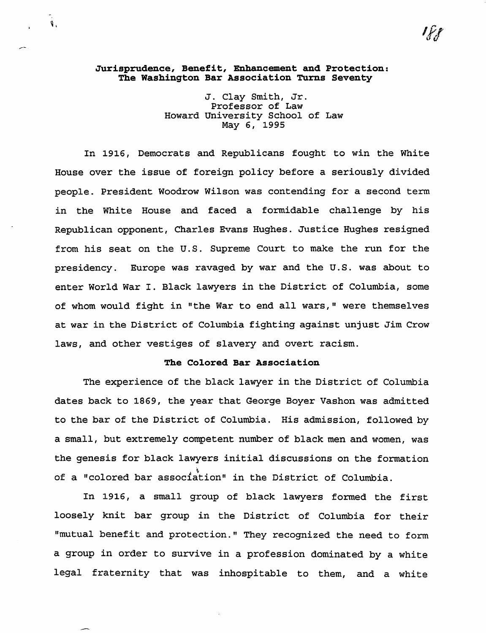#### **Jurisprudence, Benefit, Enhancement and Protection: The Washington Bar Association Turns Seventy**

 $\mathbf{V}$ .

J. Clay Smith, Jr. Professor of Law Howard University School of Law May 6, 1995

In 1916, Democrats and Republicans fought to win the White House over the issue of foreign policy before a seriously divided people. President Woodrow Wilson was contending for a second term in the White House and faced a formidable challenge by his Republican opponent, Charles Evans Hughes. Justice Hughes resigned from his seat on the U.S. Supreme Court to make the run for the presidency. Europe was ravaged by war and the U.S. was about to enter World War I. Black lawyers in the District of Columbia, some of whom would fight in "the War to end all wars," were themselves at war in the District of Columbia fighting against unjust Jim Crow laws, and other vestiges of slavery and overt racism.

#### **The Colored Bar Association**

The experience of the black lawyer in the District of Columbia dates back to 1869, the year that George Boyer Vashon was admitted to the bar of the District of Columbia. His admission, followed by a small, but extremely competent number of black men and women, was the genesis for black lawyers initial discussions on the formation of a "colored bar association" in the District of Columbia.

In 1916, a small group of black lawyers formed the first loosely knit bar group in the District of Columbia for their nmutual benefit and protection." They recognized the need to form a group in order to survive in a profession dominated by a white legal fraternity that was inhospitable to them, and a white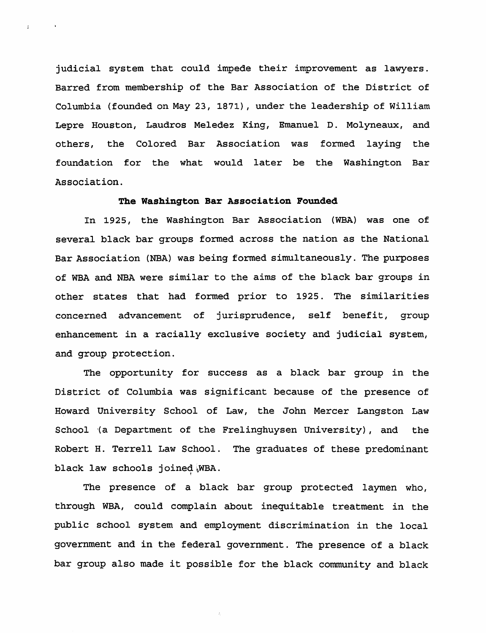judicial system that could impede their improvement as lawyers. Barred from membership of the Bar Association of the District of Columbia (founded on May 23, 1871), under the leadership of William Lepre Houston, Laudros Meledez King, Emanuel D. Molyneaux, and others, the Colored Bar Association was formed laying the foundation for the what would later be the Washington Bar Association.

 $\sigma$  .

#### **The Washington Bar Association Founded**

In 1925, the Washington Bar Association (WBA) was one of several black bar groups formed across the nation as the National Bar Association (NBA) was being formed simultaneously. The purposes of WBA and NBA were similar to the aims of the black bar groups in other states that had formed prior to 1925. The similarities concerned advancement of jurisprudence, self benefit, group enhancement in a racially exclusive society and judicial system, and group protection.

The opportunity for success as a black bar group in the District of Columbia was significant because of the presence of Howard University School of Law, the John Mercer Langston Law School (a Department of the Frelinghuysen University), and the Robert H. Terrell Law School. The graduates of these predominant black law schools joined WBA.

The presence of a black bar group protected laymen who, through WBA, could complain about inequitable treatment in the public school system and employment discrimination in the local government and in the federal government. The presence of a black bar group also made it possible for the black community and black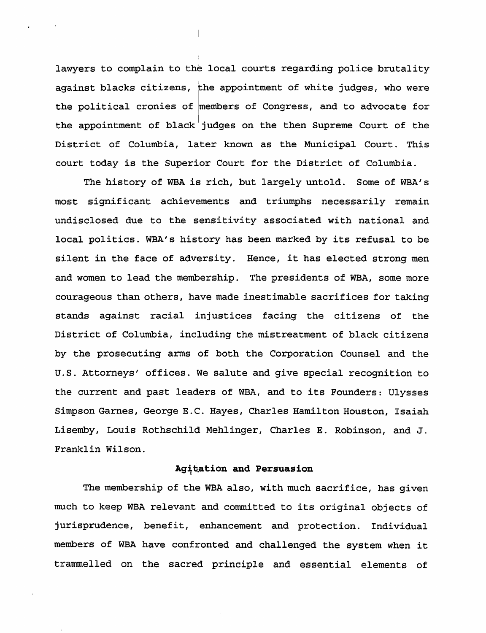lawyers to complain to the local courts regarding police brutality against blacks citizens, the appointment of white judges, who were the political cronies of members of Congress, and to advocate for the appointment of black judges on the then Supreme Court of the District of Columbia, later known as the Municipal Court. This court today is the Superior Court for the District of Columbia.

The history of WBA is rich, but largely untold. Some of WBA's most significant achievements and triumphs necessarily remain undisclosed due to the sensitivity associated with national and local politics. WBA's history has been marked by its refusal to be silent in the face of adversity. Hence, it has elected strong men and women to lead the membership. The presidents of WBA, some more courageous than others, have made inestimable sacrifices for taking stands against racial injustices facing the citizens of the District of Columbia, including the mistreatment of black citizens by the prosecuting arms of both the Corporation Counsel and the u.S. Attorneys' offices. We salute and give special recognition to the current and past leaders of WBA, and to its Founders: Ulysses Simpson Garnes, George E.C. Hayes, Charles Hamilton Houston, Isaiah Lisemby, Louis Rothschild Mehlinger, Charles E. Robinson, and J. Franklin Wilson.

# Agitation and Persuasion

The membership of the WBA also, with much sacrifice, has given much to keep WBA relevant and committed to its original objects of jurisprudence, benefit, enhancement and protection. Individual members of WBA have confronted and challenged the system when it trammelled on the sacred principle and essential elements of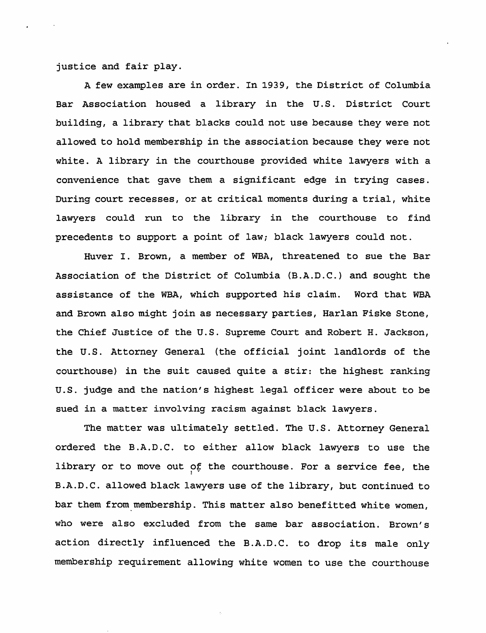justice and fair play.

A few examples are in order. In 1939, the District of Columbia Bar Association housed a library in the U. S. District Court building, a library that blacks could not use because they were not allowed to hold membership in the association because they were not white. A library in the courthouse provided white lawyers with a convenience that gave them a significant edge in trying cases. During court recesses, or at critical moments during a trial, white lawyers could run to the library in the courthouse to find precedents to support a point of law; black lawyers could not.

Huver I. Brown, a member of WBA, threatened to sue the Bar Association of the District of Columbia (B.A.D.C.) and sought the assistance of the WBA, which supported his claim. Word that WBA and Brown also might join as necessary parties, Harlan Fiske Stone, the Chief Justice of the U.S. Supreme Court and Robert H. Jackson, the U.S. Attorney General (the official joint landlords of the courthouse) in the suit caused quite a stir: the highest ranking u.S. judge and the nation's highest legal officer were about to be sued in a matter involving racism against black lawyers.

The matter was ultimately settled. The U.S. Attorney General ordered the B.A.D.C. to either allow black lawyers to use the library or to move out of the courthouse. For a service fee, the B.A.D.C. allowed black lawyers use of the library, but continued to bar them from membership. This matter also benefitted white women, who were also excluded from the same bar association. Brown's action directly influenced the B.A.D.C. to drop its male only membership requirement allowing white women to use the courthouse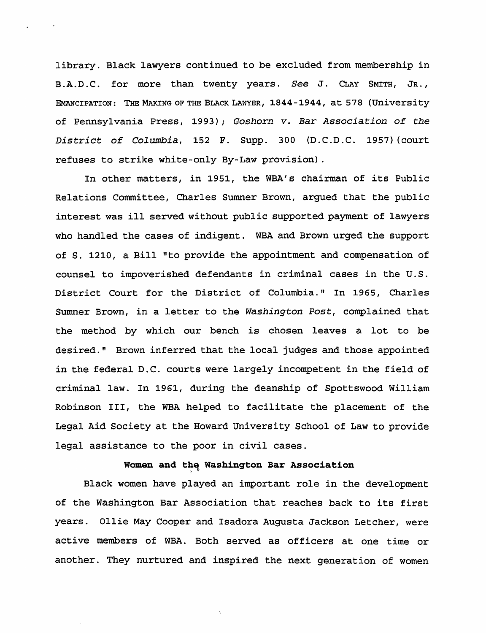library. Black lawyers continued to be excluded from membership in B.A.D.C. for more than twenty years. *See* J. CLAY SMITH, JR., EMANCIPATION: THE MAKING OF THE BLACK LAWYER, 1844-1944, at 578 (University of Pennsylvania Press, 1993); *Goshorn v. Bar Association* of *the District* of *Columbia,* 152 F. Supp. 300 (D.C.D.C. 1957) (court refuses to strike white-only By-Law provision) .

In other matters, in 1951, the WBA's chairman of its Public Relations Committee, Charles Sumner Brown, argued that the public interest was ill served without public supported payment of lawyers who handled the cases of indigent. WBA and Brown urged the support of S. 1210, a Bill "to provide the appointment and compensation of counsel to impoverished defendants in criminal cases in the U.S. District Court for the District of Columbia." In 1965, Charles Sumner Brown, in a letter to the *washington Post,* complained that the method by which our bench is chosen leaves a lot to be desired." Brown inferred that the local judges and those appointed in the federal D.C. courts were largely incompetent in the field of criminal law. In 1961, during the deanship of Spottswood William Robinson III, the WBA helped to facilitate the placement of the Legal Aid Society at the Howard University School of Law to provide legal assistance to the poor in civil cases.

#### **Women and the Washington Bar Association**

Black women have played an important role in the development of the Washington Bar Association that reaches back to its first years. Ollie May Cooper and Isadora Augusta Jackson Letcher, were active members of WBA. Both served as officers at one time or another. They nurtured and inspired the next generation of women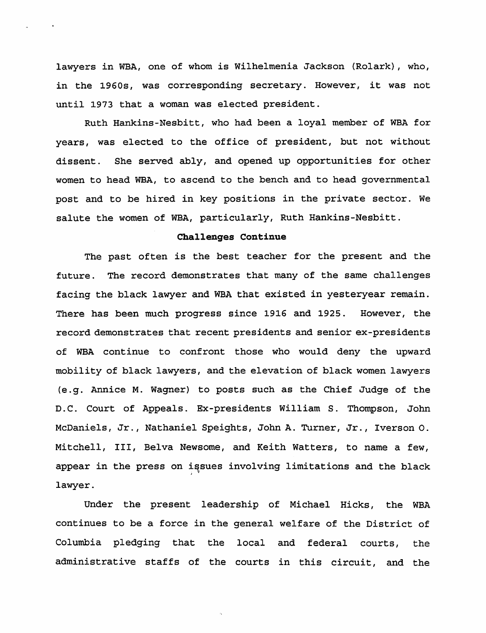lawyers in WBA, one of whom is Wilhelmenia Jackson (Rolark), who, in the 1960s, was corresponding secretary. However, it was not until 1973 that a woman was elected president.

Ruth Hankins-Nesbitt, who had been a loyal member of WBA for years, was elected to the office of president, but not without dissent. She served ably, and opened up opportunities for other women to head WBA, to ascend to the bench and to head governmental post and to be hired in key positions in the private sector. We salute the women of WBA, particularly, Ruth Hankins-Nesbitt.

# **Challenges Continue**

The past often is the best teacher for the present and the future. The record demonstrates that many of the same challenges facing the black lawyer and WBA that existed in yesteryear remain. There has been much progress since 1916 and 1925. However, the record demonstrates that recent presidents and senior ex-presidents of WBA continue to confront those who would deny the upward mobility of black lawyers, and the elevation of black women lawyers (e.g. Annice M. Wagner) to posts such as the Chief Judge of the D.C. Court of Appeals. Ex-presidents William S. Thompson, John McDaniels, Jr., Nathaniel Speights, John A. Turner, Jr., Iverson o. Mitchell, III, Belva Newsome, and Keith Watters, to name a few, appear in the press on issues involving limitations and the black lawyer.

Under the present leadership of Michael Hicks, the WBA continues to be a force in the general welfare of the District of Columbia pledging that the local and federal courts, the administrative staffs of the courts in this circuit, and the